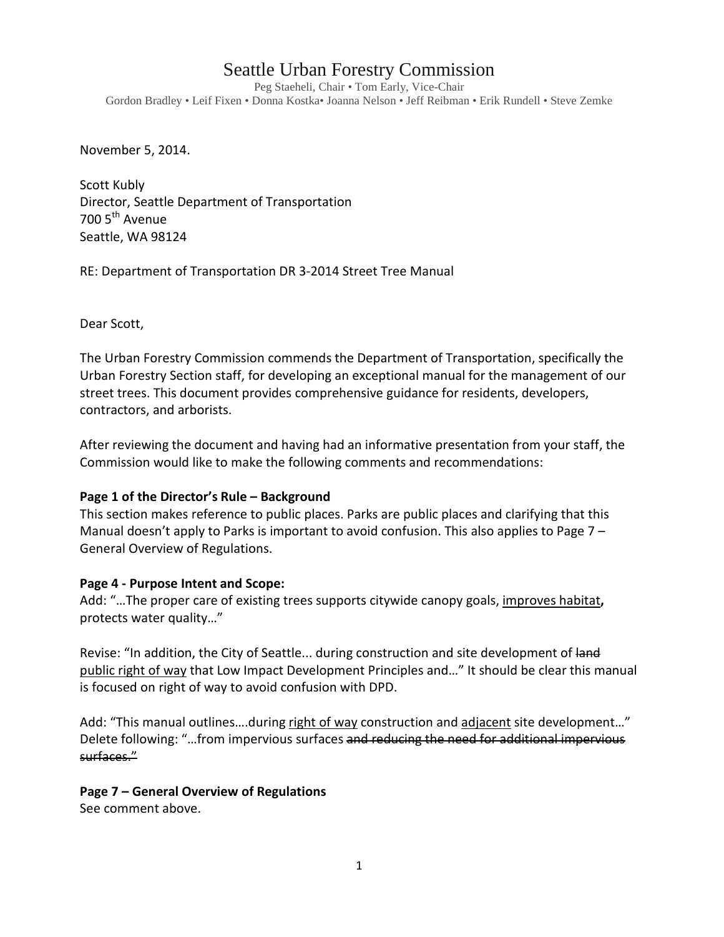# Seattle Urban Forestry Commission

Peg Staeheli, Chair • Tom Early, Vice-Chair Gordon Bradley • Leif Fixen • Donna Kostka• Joanna Nelson • Jeff Reibman • Erik Rundell • Steve Zemke

November 5, 2014.

Scott Kubly Director, Seattle Department of Transportation 700 5<sup>th</sup> Avenue Seattle, WA 98124

RE: Department of Transportation DR 3-2014 Street Tree Manual

Dear Scott,

The Urban Forestry Commission commends the Department of Transportation, specifically the Urban Forestry Section staff, for developing an exceptional manual for the management of our street trees. This document provides comprehensive guidance for residents, developers, contractors, and arborists.

After reviewing the document and having had an informative presentation from your staff, the Commission would like to make the following comments and recommendations:

## **Page 1 of the Director's Rule – Background**

This section makes reference to public places. Parks are public places and clarifying that this Manual doesn't apply to Parks is important to avoid confusion. This also applies to Page 7 -General Overview of Regulations.

## **Page 4 - Purpose Intent and Scope:**

Add: "…The proper care of existing trees supports citywide canopy goals, improves habitat**,**  protects water quality…"

Revise: "In addition, the City of Seattle... during construction and site development of land public right of way that Low Impact Development Principles and…" It should be clear this manual is focused on right of way to avoid confusion with DPD.

Add: "This manual outlines....during right of way construction and adjacent site development..." Delete following: "...from impervious surfaces and reducing the need for additional impervious surfaces."

## **Page 7 – General Overview of Regulations**

See comment above.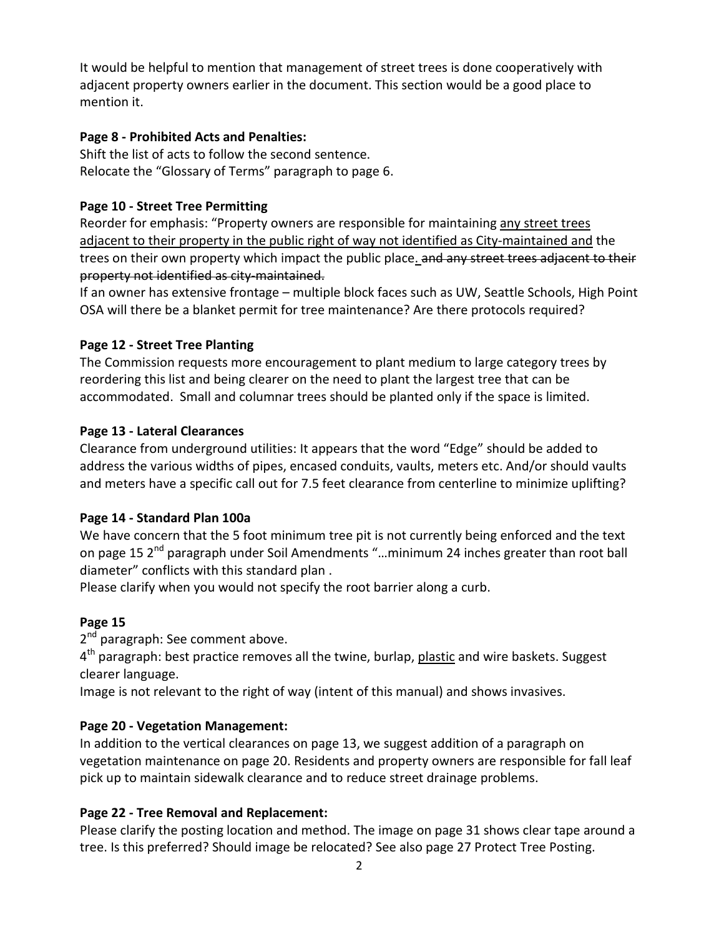It would be helpful to mention that management of street trees is done cooperatively with adjacent property owners earlier in the document. This section would be a good place to mention it.

## **Page 8 - Prohibited Acts and Penalties:**

Shift the list of acts to follow the second sentence. Relocate the "Glossary of Terms" paragraph to page 6.

# **Page 10 - Street Tree Permitting**

Reorder for emphasis: "Property owners are responsible for maintaining any street trees adjacent to their property in the public right of way not identified as City-maintained and the trees on their own property which impact the public place. and any street trees adjacent to their property not identified as city-maintained.

If an owner has extensive frontage – multiple block faces such as UW, Seattle Schools, High Point OSA will there be a blanket permit for tree maintenance? Are there protocols required?

## **Page 12 - Street Tree Planting**

The Commission requests more encouragement to plant medium to large category trees by reordering this list and being clearer on the need to plant the largest tree that can be accommodated. Small and columnar trees should be planted only if the space is limited.

## **Page 13 - Lateral Clearances**

Clearance from underground utilities: It appears that the word "Edge" should be added to address the various widths of pipes, encased conduits, vaults, meters etc. And/or should vaults and meters have a specific call out for 7.5 feet clearance from centerline to minimize uplifting?

## **Page 14 - Standard Plan 100a**

We have concern that the 5 foot minimum tree pit is not currently being enforced and the text on page 15 2<sup>nd</sup> paragraph under Soil Amendments "...minimum 24 inches greater than root ball diameter" conflicts with this standard plan .

Please clarify when you would not specify the root barrier along a curb.

# **Page 15**

2<sup>nd</sup> paragraph: See comment above.

 $4<sup>th</sup>$  paragraph: best practice removes all the twine, burlap, plastic and wire baskets. Suggest clearer language.

Image is not relevant to the right of way (intent of this manual) and shows invasives.

# **Page 20 - Vegetation Management:**

In addition to the vertical clearances on page 13, we suggest addition of a paragraph on vegetation maintenance on page 20. Residents and property owners are responsible for fall leaf pick up to maintain sidewalk clearance and to reduce street drainage problems.

# **Page 22 - Tree Removal and Replacement:**

Please clarify the posting location and method. The image on page 31 shows clear tape around a tree. Is this preferred? Should image be relocated? See also page 27 Protect Tree Posting.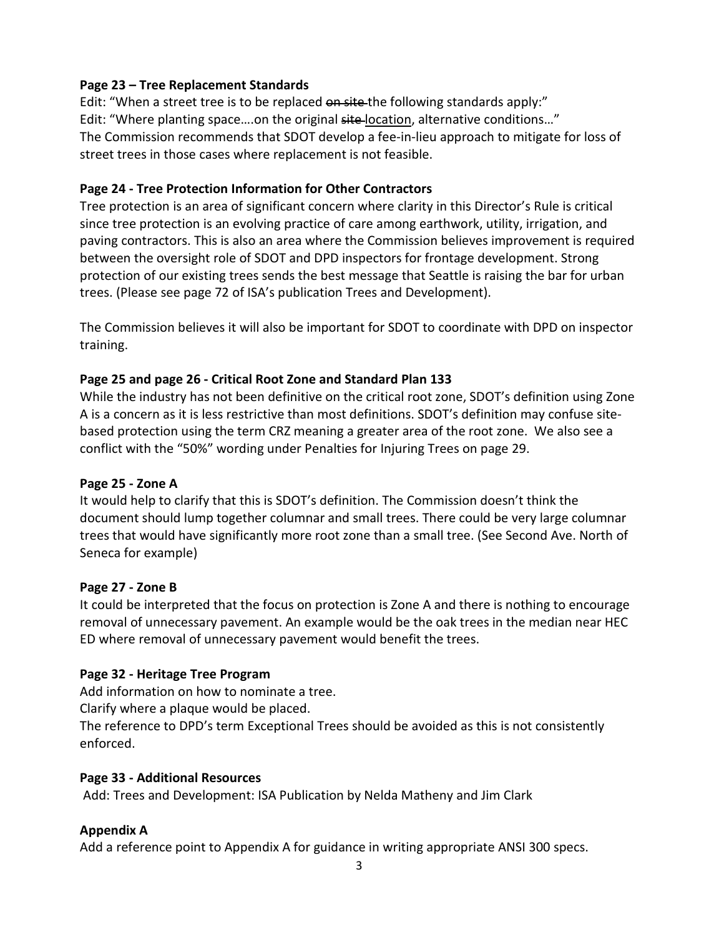# **Page 23 – Tree Replacement Standards**

Edit: "When a street tree is to be replaced on site-the following standards apply:" Edit: "Where planting space....on the original site-location, alternative conditions..." The Commission recommends that SDOT develop a fee-in-lieu approach to mitigate for loss of street trees in those cases where replacement is not feasible.

## **Page 24 - Tree Protection Information for Other Contractors**

Tree protection is an area of significant concern where clarity in this Director's Rule is critical since tree protection is an evolving practice of care among earthwork, utility, irrigation, and paving contractors. This is also an area where the Commission believes improvement is required between the oversight role of SDOT and DPD inspectors for frontage development. Strong protection of our existing trees sends the best message that Seattle is raising the bar for urban trees. (Please see page 72 of ISA's publication Trees and Development).

The Commission believes it will also be important for SDOT to coordinate with DPD on inspector training.

# **Page 25 and page 26 - Critical Root Zone and Standard Plan 133**

While the industry has not been definitive on the critical root zone, SDOT's definition using Zone A is a concern as it is less restrictive than most definitions. SDOT's definition may confuse sitebased protection using the term CRZ meaning a greater area of the root zone. We also see a conflict with the "50%" wording under Penalties for Injuring Trees on page 29.

## **Page 25 - Zone A**

It would help to clarify that this is SDOT's definition. The Commission doesn't think the document should lump together columnar and small trees. There could be very large columnar trees that would have significantly more root zone than a small tree. (See Second Ave. North of Seneca for example)

## **Page 27 - Zone B**

It could be interpreted that the focus on protection is Zone A and there is nothing to encourage removal of unnecessary pavement. An example would be the oak trees in the median near HEC ED where removal of unnecessary pavement would benefit the trees.

## **Page 32 - Heritage Tree Program**

Add information on how to nominate a tree.

Clarify where a plaque would be placed.

The reference to DPD's term Exceptional Trees should be avoided as this is not consistently enforced.

## **Page 33 - Additional Resources**

Add: Trees and Development: ISA Publication by Nelda Matheny and Jim Clark

# **Appendix A**

Add a reference point to Appendix A for guidance in writing appropriate ANSI 300 specs.